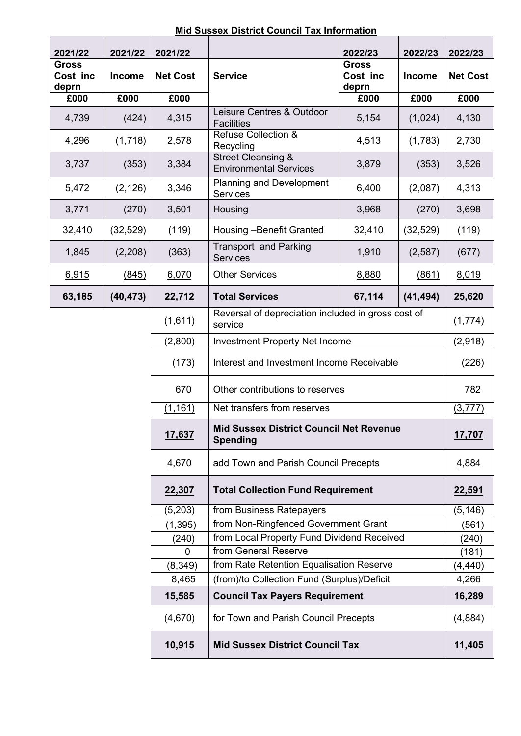| 2021/22                           | 2021/22                                          | 2021/22         |                                                                   | 2022/23                           | 2022/23       | 2022/23         |  |
|-----------------------------------|--------------------------------------------------|-----------------|-------------------------------------------------------------------|-----------------------------------|---------------|-----------------|--|
| <b>Gross</b><br>Cost inc<br>deprn | <b>Income</b>                                    | <b>Net Cost</b> | <b>Service</b>                                                    | <b>Gross</b><br>Cost inc<br>deprn | <b>Income</b> | <b>Net Cost</b> |  |
| £000                              | £000                                             | £000            |                                                                   | £000                              | £000          | £000            |  |
| 4,739                             | (424)                                            | 4,315           | Leisure Centres & Outdoor<br><b>Facilities</b>                    | 5,154                             | (1,024)       | 4,130           |  |
| 4,296                             | (1,718)                                          | 2,578           | <b>Refuse Collection &amp;</b><br>Recycling                       | 4,513                             | (1,783)       | 2,730           |  |
| 3,737                             | (353)                                            | 3,384           | <b>Street Cleansing &amp;</b><br><b>Environmental Services</b>    | 3,879                             | (353)         | 3,526           |  |
| 5,472                             | (2, 126)                                         | 3,346           | <b>Planning and Development</b><br>Services                       | 6,400                             | (2,087)       | 4,313           |  |
| 3,771                             | (270)                                            | 3,501           | Housing                                                           | 3,968                             | (270)         | 3,698           |  |
| 32,410                            | (32, 529)                                        | (119)           | Housing - Benefit Granted                                         | 32,410                            | (32, 529)     | (119)           |  |
| 1,845                             | (2,208)                                          | (363)           | <b>Transport and Parking</b><br><b>Services</b>                   | 1,910                             | (2, 587)      | (677)           |  |
| 6,915                             | (845)                                            | 6,070           | <b>Other Services</b>                                             | 8,880                             | (861)         | 8,019           |  |
| 63,185                            | (40, 473)                                        | 22,712          | <b>Total Services</b>                                             | 67,114                            | (41, 494)     | 25,620          |  |
|                                   |                                                  | (1,611)         | Reversal of depreciation included in gross cost of<br>service     |                                   |               | (1,774)         |  |
|                                   |                                                  | (2,800)         | <b>Investment Property Net Income</b>                             |                                   |               | (2,918)         |  |
|                                   |                                                  | (173)           | Interest and Investment Income Receivable                         |                                   |               | (226)           |  |
| 670                               |                                                  |                 |                                                                   | Other contributions to reserves   |               |                 |  |
|                                   |                                                  | (1, 161)        | Net transfers from reserves                                       |                                   |               | (3, 777)        |  |
|                                   |                                                  | 17,637          | <b>Mid Sussex District Council Net Revenue</b><br><b>Spending</b> |                                   |               | 17,707          |  |
|                                   |                                                  | 4,670           | add Town and Parish Council Precepts                              |                                   |               | 4,884           |  |
|                                   |                                                  | 22,307          | <b>Total Collection Fund Requirement</b>                          | 22,591                            |               |                 |  |
|                                   |                                                  | (5,203)         | from Business Ratepayers                                          |                                   |               | (5, 146)        |  |
|                                   |                                                  | (1, 395)        | from Non-Ringfenced Government Grant                              |                                   |               | (561)           |  |
|                                   |                                                  | (240)           | from Local Property Fund Dividend Received                        |                                   |               | (240)           |  |
|                                   |                                                  | $\mathbf 0$     | from General Reserve                                              |                                   |               | (181)           |  |
|                                   |                                                  | (8, 349)        | from Rate Retention Equalisation Reserve                          |                                   |               | (4, 440)        |  |
| 8,465                             |                                                  |                 | (from)/to Collection Fund (Surplus)/Deficit                       | 4,266                             |               |                 |  |
|                                   |                                                  | 15,585          | <b>Council Tax Payers Requirement</b>                             | 16,289                            |               |                 |  |
|                                   |                                                  | (4,670)         | for Town and Parish Council Precepts                              |                                   | (4,884)       |                 |  |
|                                   | 10,915<br><b>Mid Sussex District Council Tax</b> |                 |                                                                   |                                   | 11,405        |                 |  |

**Mid Sussex District Council Tax Information**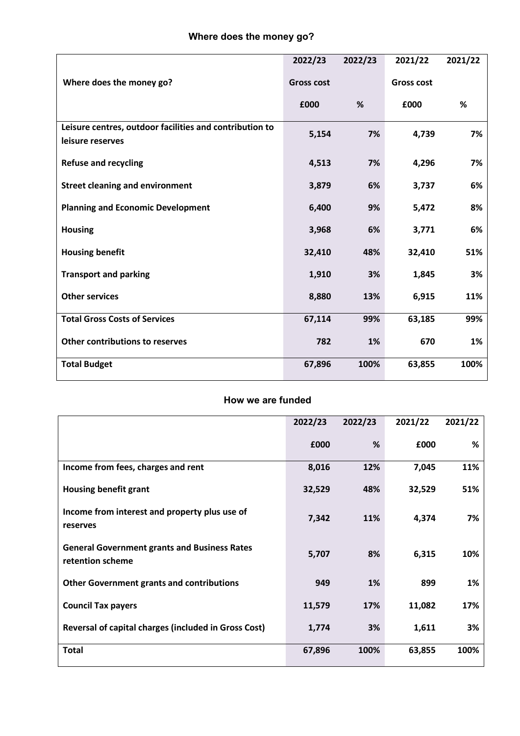|                                                                             | 2022/23           | 2022/23 | 2021/22           | 2021/22 |
|-----------------------------------------------------------------------------|-------------------|---------|-------------------|---------|
| Where does the money go?                                                    | <b>Gross cost</b> |         | <b>Gross cost</b> |         |
|                                                                             | £000              | %       | £000              | %       |
| Leisure centres, outdoor facilities and contribution to<br>leisure reserves | 5,154             | 7%      | 4,739             | 7%      |
| <b>Refuse and recycling</b>                                                 | 4,513             | 7%      | 4,296             | 7%      |
| <b>Street cleaning and environment</b>                                      | 3,879             | 6%      | 3,737             | 6%      |
| <b>Planning and Economic Development</b>                                    | 6,400             | 9%      | 5,472             | 8%      |
| <b>Housing</b>                                                              | 3,968             | 6%      | 3,771             | 6%      |
| <b>Housing benefit</b>                                                      | 32,410            | 48%     | 32,410            | 51%     |
| <b>Transport and parking</b>                                                | 1,910             | 3%      | 1,845             | 3%      |
| <b>Other services</b>                                                       | 8,880             | 13%     | 6,915             | 11%     |
| <b>Total Gross Costs of Services</b>                                        | 67,114            | 99%     | 63,185            | 99%     |
| Other contributions to reserves                                             | 782               | 1%      | 670               | 1%      |
| <b>Total Budget</b>                                                         | 67,896            | 100%    | 63,855            | 100%    |

## **How we are funded**

|                                                                         | 2022/23 | 2022/23    | 2021/22 | 2021/22 |
|-------------------------------------------------------------------------|---------|------------|---------|---------|
|                                                                         | £000    | %          | £000    | %       |
| Income from fees, charges and rent                                      | 8,016   | 12%        | 7,045   | 11%     |
| <b>Housing benefit grant</b>                                            | 32,529  | 48%        | 32,529  | 51%     |
| Income from interest and property plus use of<br>reserves               | 7,342   | <b>11%</b> | 4,374   | 7%      |
| <b>General Government grants and Business Rates</b><br>retention scheme | 5,707   | 8%         | 6,315   | 10%     |
| <b>Other Government grants and contributions</b>                        | 949     | 1%         | 899     | 1%      |
| <b>Council Tax payers</b>                                               | 11,579  | 17%        | 11,082  | 17%     |
| Reversal of capital charges (included in Gross Cost)                    | 1,774   | 3%         | 1,611   | 3%      |
| <b>Total</b>                                                            | 67,896  | 100%       | 63,855  | 100%    |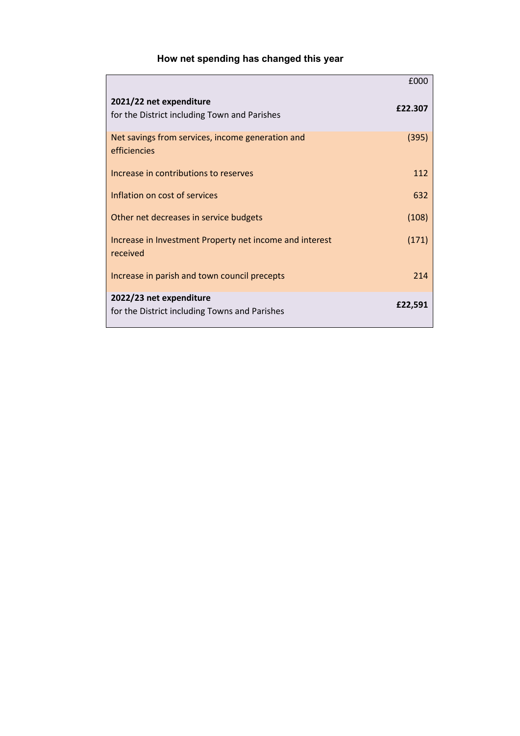## **How net spending has changed this year**

|                                                                          | £000    |
|--------------------------------------------------------------------------|---------|
| 2021/22 net expenditure<br>for the District including Town and Parishes  | £22.307 |
| Net savings from services, income generation and<br>efficiencies         | (395)   |
| Increase in contributions to reserves                                    | 112     |
| Inflation on cost of services                                            | 632     |
| Other net decreases in service budgets                                   | (108)   |
| Increase in Investment Property net income and interest<br>received      | (171)   |
| Increase in parish and town council precepts                             | 214     |
| 2022/23 net expenditure<br>for the District including Towns and Parishes | £22,591 |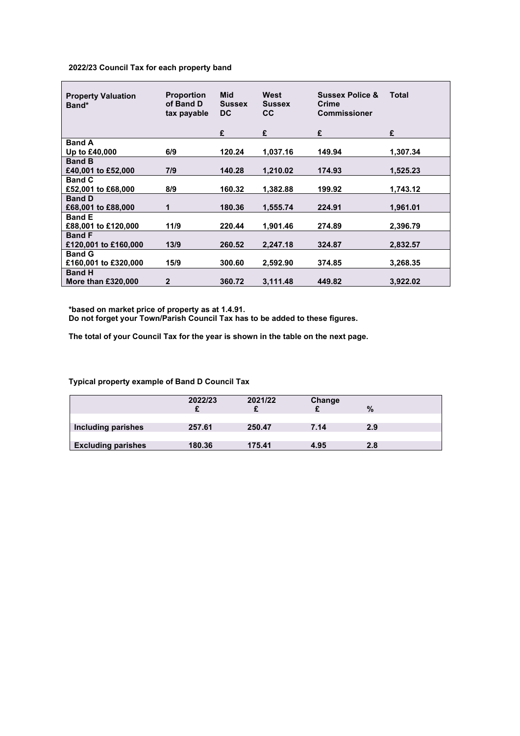## **2022/23 Council Tax for each property band**

| <b>Property Valuation</b><br>Band* | <b>Proportion</b><br>of Band D<br>tax payable | <b>Mid</b><br><b>Sussex</b><br>DC. | West<br><b>Sussex</b><br><b>CC</b> | <b>Sussex Police &amp;</b><br>Crime<br><b>Commissioner</b> | <b>Total</b> |
|------------------------------------|-----------------------------------------------|------------------------------------|------------------------------------|------------------------------------------------------------|--------------|
|                                    |                                               | £                                  | £                                  | £                                                          | £            |
| <b>Band A</b>                      |                                               |                                    |                                    |                                                            |              |
| Up to £40,000                      | 6/9                                           | 120.24                             | 1,037.16                           | 149.94                                                     | 1.307.34     |
| <b>Band B</b>                      |                                               |                                    |                                    |                                                            |              |
| £40,001 to £52,000                 | 7/9                                           | 140.28                             | 1.210.02                           | 174.93                                                     | 1.525.23     |
| <b>Band C</b>                      |                                               |                                    |                                    |                                                            |              |
| £52,001 to £68,000                 | 8/9                                           | 160.32                             | 1,382.88                           | 199.92                                                     | 1,743.12     |
| <b>Band D</b>                      |                                               |                                    |                                    |                                                            |              |
| £68,001 to £88,000                 | 1                                             | 180.36                             | 1,555.74                           | 224.91                                                     | 1,961.01     |
| <b>Band E</b>                      |                                               |                                    |                                    |                                                            |              |
| £88,001 to £120,000                | 11/9                                          | 220.44                             | 1,901.46                           | 274.89                                                     | 2,396.79     |
| <b>Band F</b>                      |                                               |                                    |                                    |                                                            |              |
| £120,001 to £160,000               | 13/9                                          | 260.52                             | 2,247.18                           | 324.87                                                     | 2,832.57     |
| <b>Band G</b>                      |                                               |                                    |                                    |                                                            |              |
| £160,001 to £320,000               | 15/9                                          | 300.60                             | 2,592.90                           | 374.85                                                     | 3.268.35     |
| <b>Band H</b>                      |                                               |                                    |                                    |                                                            |              |
| <b>More than £320,000</b>          | $\overline{2}$                                | 360.72                             | 3,111.48                           | 449.82                                                     | 3,922.02     |

**\*based on market price of property as at 1.4.91.**

**Do not forget your Town/Parish Council Tax has to be added to these figures.**

**The total of your Council Tax for the year is shown in the table on the next page.** 

**Typical property example of Band D Council Tax**

|                           | 2022/23 | 2021/22 | Change | $\%$ |
|---------------------------|---------|---------|--------|------|
| Including parishes        | 257.61  | 250.47  | 7.14   | 2.9  |
| <b>Excluding parishes</b> | 180.36  | 175.41  | 4.95   | 2.8  |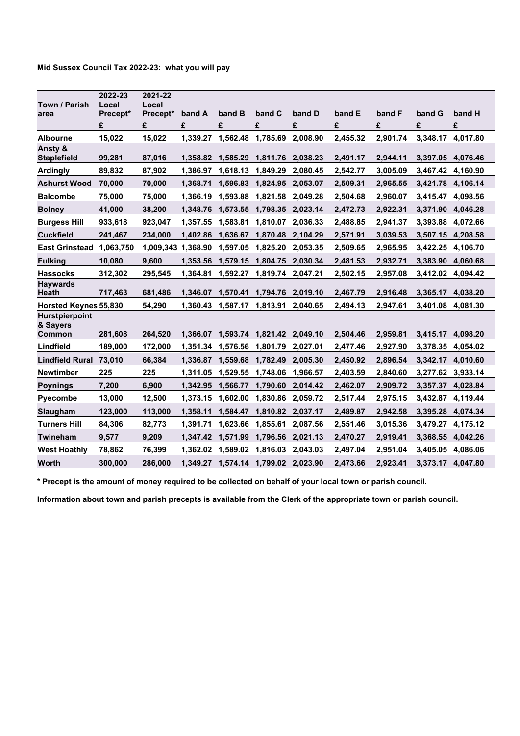| Town / Parish                                      | 2022-23<br>Local | 2021-22<br>Local   |          |                   |                            |                   |          |          |                   |          |
|----------------------------------------------------|------------------|--------------------|----------|-------------------|----------------------------|-------------------|----------|----------|-------------------|----------|
| larea                                              | Precept*         | Precept*           | band A   | band B            | band C                     | band D            | band E   | band F   | band G            | band H   |
|                                                    | £                | £                  | £        | £                 | £                          | £                 | £        | £        | £                 | £        |
| <b>Albourne</b>                                    | 15,022           | 15,022             | 1,339.27 | 1,562.48          | 1,785.69                   | 2,008.90          | 2,455.32 | 2,901.74 | 3,348.17 4,017.80 |          |
| Ansty &<br><b>Staplefield</b>                      | 99,281           | 87,016             | 1,358.82 | 1,585.29          | 1,811.76 2,038.23          |                   | 2,491.17 | 2,944.11 | 3,397.05 4,076.46 |          |
| <b>Ardingly</b>                                    | 89,832           | 87,902             | 1,386.97 | 1,618.13          | 1,849.29                   | 2,080.45          | 2,542.77 | 3,005.09 | 3,467.42 4,160.90 |          |
| <b>Ashurst Wood</b>                                | 70,000           | 70,000             | 1,368.71 |                   | 1,596.83 1,824.95          | 2,053.07          | 2,509.31 | 2,965.55 | 3,421.78 4,106.14 |          |
| <b>Balcombe</b>                                    | 75,000           | 75,000             |          | 1,366.19 1,593.88 | 1,821.58                   | 2,049.28          | 2,504.68 | 2,960.07 | 3,415.47 4,098.56 |          |
| <b>Bolney</b>                                      | 41,000           | 38,200             |          | 1,348.76 1,573.55 | 1,798.35 2,023.14          |                   | 2,472.73 | 2,922.31 | 3,371.90 4,046.28 |          |
| <b>Burgess Hill</b>                                | 933,618          | 923,047            | 1,357.55 | 1,583.81          | 1,810.07                   | 2,036.33          | 2,488.85 | 2,941.37 | 3,393.88          | 4,072.66 |
| <b>Cuckfield</b>                                   | 241,467          | 234,000            |          | 1,402.86 1,636.67 | 1,870.48 2,104.29          |                   | 2,571.91 | 3,039.53 | 3,507.15 4,208.58 |          |
| East Grinstead 1,063,750                           |                  | 1,009,343 1,368.90 |          | 1,597.05          | 1,825.20                   | 2,053.35          | 2,509.65 | 2,965.95 | 3,422.25          | 4,106.70 |
| <b>Fulking</b>                                     | 10,080           | 9,600              | 1.353.56 | 1,579.15          |                            | 1,804.75 2,030.34 | 2,481.53 | 2,932.71 | 3,383.90 4,060.68 |          |
| <b>Hassocks</b>                                    | 312,302          | 295,545            | 1,364.81 | 1,592.27          | 1,819.74 2,047.21          |                   | 2,502.15 | 2,957.08 | 3,412.02 4,094.42 |          |
| <b>Haywards</b><br><b>Heath</b>                    | 717,463          | 681,486            | 1,346.07 | 1,570.41          |                            | 1,794.76 2,019.10 | 2,467.79 | 2,916.48 | 3,365.17          | 4,038.20 |
| Horsted Keynes 55,830                              |                  | 54,290             | 1,360.43 | 1,587.17          | 1,813.91                   | 2,040.65          | 2,494.13 | 2,947.61 | 3,401.08 4,081.30 |          |
| <b>Hurstpierpoint</b><br>& Sayers<br><b>Common</b> | 281.608          | 264.520            | 1.366.07 | 1.593.74          | 1.821.42 2.049.10          |                   | 2.504.46 | 2,959.81 | 3.415.17          | 4.098.20 |
| Lindfield                                          | 189,000          | 172,000            |          | 1,351.34 1,576.56 | 1,801.79                   | 2,027.01          | 2,477.46 | 2,927.90 | 3,378.35 4,054.02 |          |
| Lindfield Rural 73,010                             |                  | 66,384             | 1,336.87 | 1,559.68          | 1,782.49                   | 2,005.30          | 2,450.92 | 2,896.54 | 3,342.17 4,010.60 |          |
| <b>Newtimber</b>                                   | 225              | 225                | 1,311.05 | 1,529.55          | 1,748.06                   | 1,966.57          | 2,403.59 | 2,840.60 | 3,277.62 3,933.14 |          |
| <b>Poynings</b>                                    | 7.200            | 6,900              |          | 1,342.95 1,566.77 | 1,790.60                   | 2,014.42          | 2,462.07 | 2,909.72 | 3,357.37 4,028.84 |          |
| <b>Pyecombe</b>                                    | 13,000           | 12,500             | 1,373.15 | 1,602.00          | 1,830.86                   | 2,059.72          | 2,517.44 | 2,975.15 | 3,432.87          | 4,119.44 |
| <b>Slaugham</b>                                    | 123,000          | 113,000            | 1,358.11 | 1,584.47          | 1,810.82 2,037.17          |                   | 2,489.87 | 2,942.58 | 3,395.28 4,074.34 |          |
| <b>Turners Hill</b>                                | 84.306           | 82,773             | 1.391.71 | 1,623.66          | 1,855.61                   | 2,087.56          | 2,551.46 | 3,015.36 | 3,479.27          | 4,175.12 |
| Twineham                                           | 9,577            | 9,209              |          | 1,347.42 1,571.99 | 1,796.56 2,021.13          |                   | 2,470.27 | 2,919.41 | 3,368.55 4,042.26 |          |
| <b>West Hoathly</b>                                | 78.862           | 76,399             | 1,362.02 | 1.589.02          | 1.816.03                   | 2.043.03          | 2,497.04 | 2.951.04 | 3.405.05 4.086.06 |          |
| <b>Worth</b>                                       | 300.000          | 286.000            | 1,349.27 |                   | 1,574.14 1,799.02 2,023.90 |                   | 2,473.66 | 2,923.41 | 3,373.17 4,047.80 |          |

**\* Precept is the amount of money required to be collected on behalf of your local town or parish council.**

**Information about town and parish precepts is available from the Clerk of the appropriate town or parish council.**